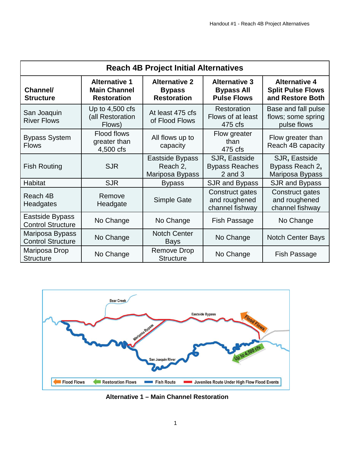| <b>Reach 4B Project Initial Alternatives</b> |                                                                   |                                                             |                                                                 |                                                                      |
|----------------------------------------------|-------------------------------------------------------------------|-------------------------------------------------------------|-----------------------------------------------------------------|----------------------------------------------------------------------|
| <b>Channel/</b><br><b>Structure</b>          | <b>Alternative 1</b><br><b>Main Channel</b><br><b>Restoration</b> | <b>Alternative 2</b><br><b>Bypass</b><br><b>Restoration</b> | <b>Alternative 3</b><br><b>Bypass All</b><br><b>Pulse Flows</b> | <b>Alternative 4</b><br><b>Split Pulse Flows</b><br>and Restore Both |
| San Joaquin<br><b>River Flows</b>            | Up to $4,500$ cfs<br>(all Restoration<br>Flows)                   | At least 475 cfs<br>of Flood Flows                          | Restoration<br>Flows of at least<br>475 cfs                     | Base and fall pulse<br>flows; some spring<br>pulse flows             |
| <b>Bypass System</b><br><b>Flows</b>         | <b>Flood flows</b><br>greater than<br>4,500 cfs                   | All flows up to<br>capacity                                 | Flow greater<br>than<br>475 cfs                                 | Flow greater than<br>Reach 4B capacity                               |
| <b>Fish Routing</b>                          | <b>SJR</b>                                                        | Eastside Bypass<br>Reach 2,<br>Mariposa Bypass              | SJR, Eastside<br><b>Bypass Reaches</b><br>$2$ and $3$           | SJR, Eastside<br>Bypass Reach 2,<br>Mariposa Bypass                  |
| <b>Habitat</b>                               | <b>SJR</b>                                                        | <b>Bypass</b>                                               | SJR and Bypass                                                  | SJR and Bypass                                                       |
| Reach 4B<br>Headgates                        | Remove<br>Headgate                                                | <b>Simple Gate</b>                                          | Construct gates<br>and roughened<br>channel fishway             | Construct gates<br>and roughened<br>channel fishway                  |
| Eastside Bypass<br><b>Control Structure</b>  | No Change                                                         | No Change                                                   | Fish Passage                                                    | No Change                                                            |
| Mariposa Bypass<br><b>Control Structure</b>  | No Change                                                         | <b>Notch Center</b><br><b>Bays</b>                          | No Change                                                       | <b>Notch Center Bays</b>                                             |
| Mariposa Drop<br><b>Structure</b>            | No Change                                                         | <b>Remove Drop</b><br><b>Structure</b>                      | No Change                                                       | Fish Passage                                                         |



**Alternative 1 – Main Channel Restoration**